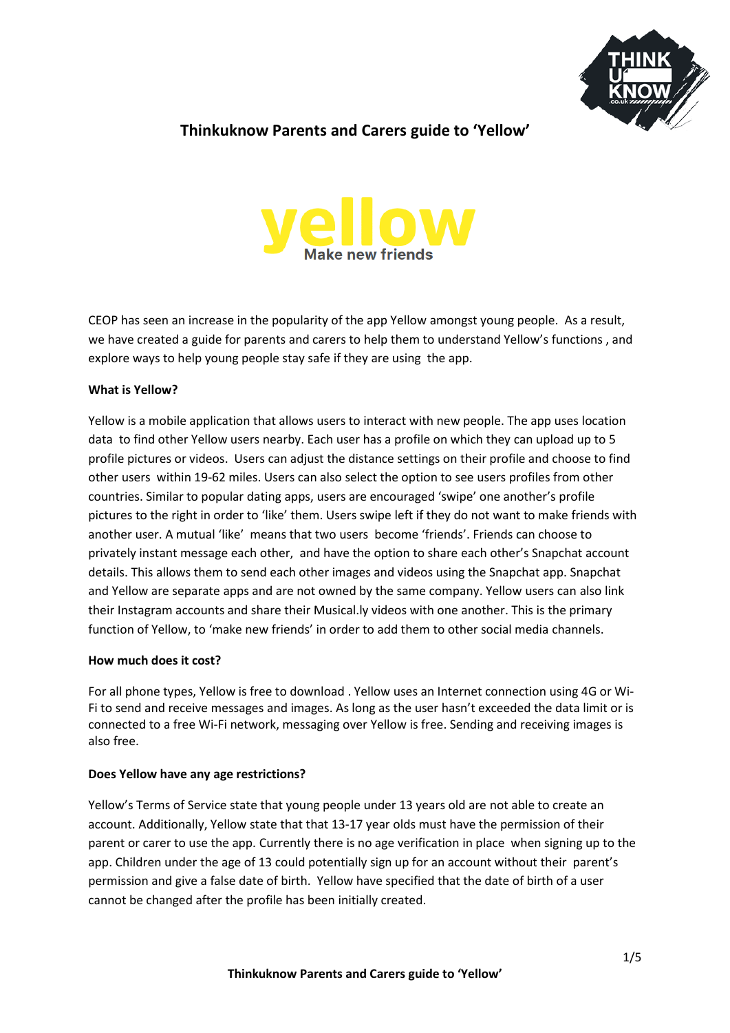

# **Thinkuknow Parents and Carers guide to 'Yellow'**



CEOP has seen an increase in the popularity of the app Yellow amongst young people. As a result, we have created a guide for parents and carers to help them to understand Yellow's functions , and explore ways to help young people stay safe if they are using the app.

## **What is Yellow?**

Yellow is a mobile application that allows users to interact with new people. The app uses location data to find other Yellow users nearby. Each user has a profile on which they can upload up to 5 profile pictures or videos. Users can adjust the distance settings on their profile and choose to find other users within 19-62 miles. Users can also select the option to see users profiles from other countries. Similar to popular dating apps, users are encouraged 'swipe' one another's profile pictures to the right in order to 'like' them. Users swipe left if they do not want to make friends with another user. A mutual 'like' means that two users become 'friends'. Friends can choose to privately instant message each other, and have the option to share each other's Snapchat account details. This allows them to send each other images and videos using the Snapchat app. Snapchat and Yellow are separate apps and are not owned by the same company. Yellow users can also link their Instagram accounts and share their Musical.ly videos with one another. This is the primary function of Yellow, to 'make new friends' in order to add them to other social media channels.

#### **How much does it cost?**

For all phone types, Yellow is free to download . Yellow uses an Internet connection using 4G or Wi-Fi to send and receive messages and images. As long as the user hasn't exceeded the data limit or is connected to a free Wi-Fi network, messaging over Yellow is free. Sending and receiving images is also free.

## **Does Yellow have any age restrictions?**

Yellow's Terms of Service state that young people under 13 years old are not able to create an account. Additionally, Yellow state that that 13-17 year olds must have the permission of their parent or carer to use the app. Currently there is no age verification in place when signing up to the app. Children under the age of 13 could potentially sign up for an account without their parent's permission and give a false date of birth. Yellow have specified that the date of birth of a user cannot be changed after the profile has been initially created.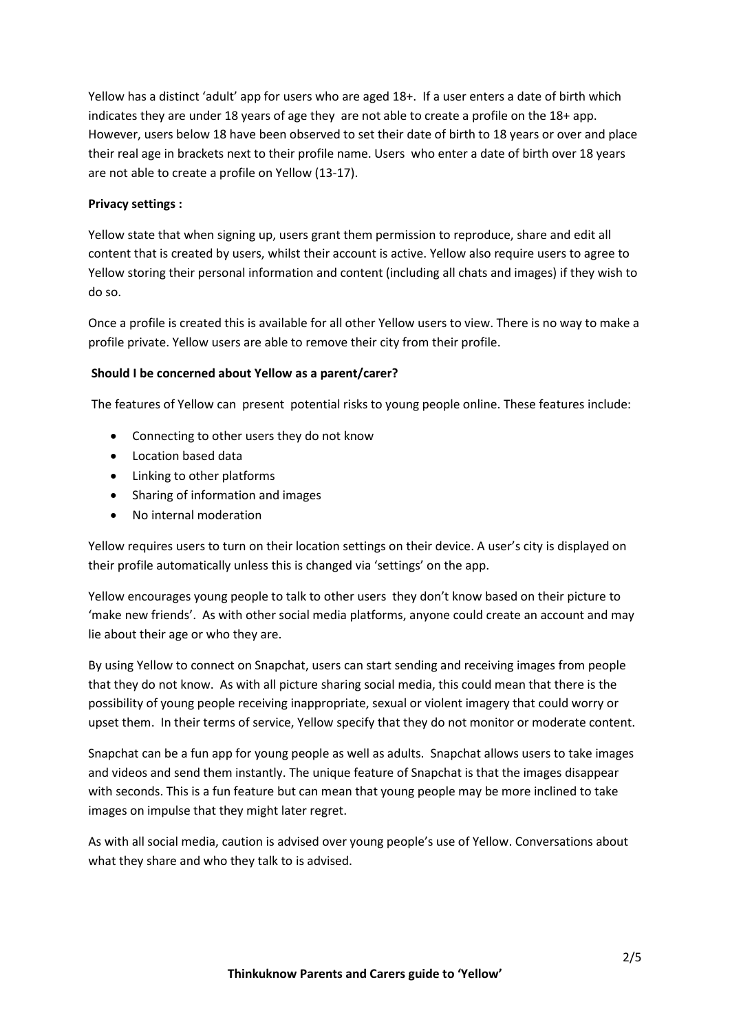Yellow has a distinct 'adult' app for users who are aged 18+. If a user enters a date of birth which indicates they are under 18 years of age they are not able to create a profile on the 18+ app. However, users below 18 have been observed to set their date of birth to 18 years or over and place their real age in brackets next to their profile name. Users who enter a date of birth over 18 years are not able to create a profile on Yellow (13-17).

## **Privacy settings :**

Yellow state that when signing up, users grant them permission to reproduce, share and edit all content that is created by users, whilst their account is active. Yellow also require users to agree to Yellow storing their personal information and content (including all chats and images) if they wish to do so.

Once a profile is created this is available for all other Yellow users to view. There is no way to make a profile private. Yellow users are able to remove their city from their profile.

## **Should I be concerned about Yellow as a parent/carer?**

The features of Yellow can present potential risks to young people online. These features include:

- Connecting to other users they do not know
- Location based data
- Linking to other platforms
- Sharing of information and images
- No internal moderation

Yellow requires users to turn on their location settings on their device. A user's city is displayed on their profile automatically unless this is changed via 'settings' on the app.

Yellow encourages young people to talk to other users they don't know based on their picture to 'make new friends'. As with other social media platforms, anyone could create an account and may lie about their age or who they are.

By using Yellow to connect on Snapchat, users can start sending and receiving images from people that they do not know. As with all picture sharing social media, this could mean that there is the possibility of young people receiving inappropriate, sexual or violent imagery that could worry or upset them. In their terms of service, Yellow specify that they do not monitor or moderate content.

Snapchat can be a fun app for young people as well as adults. Snapchat allows users to take images and videos and send them instantly. The unique feature of Snapchat is that the images disappear with seconds. This is a fun feature but can mean that young people may be more inclined to take images on impulse that they might later regret.

As with all social media, caution is advised over young people's use of Yellow. Conversations about what they share and who they talk to is advised.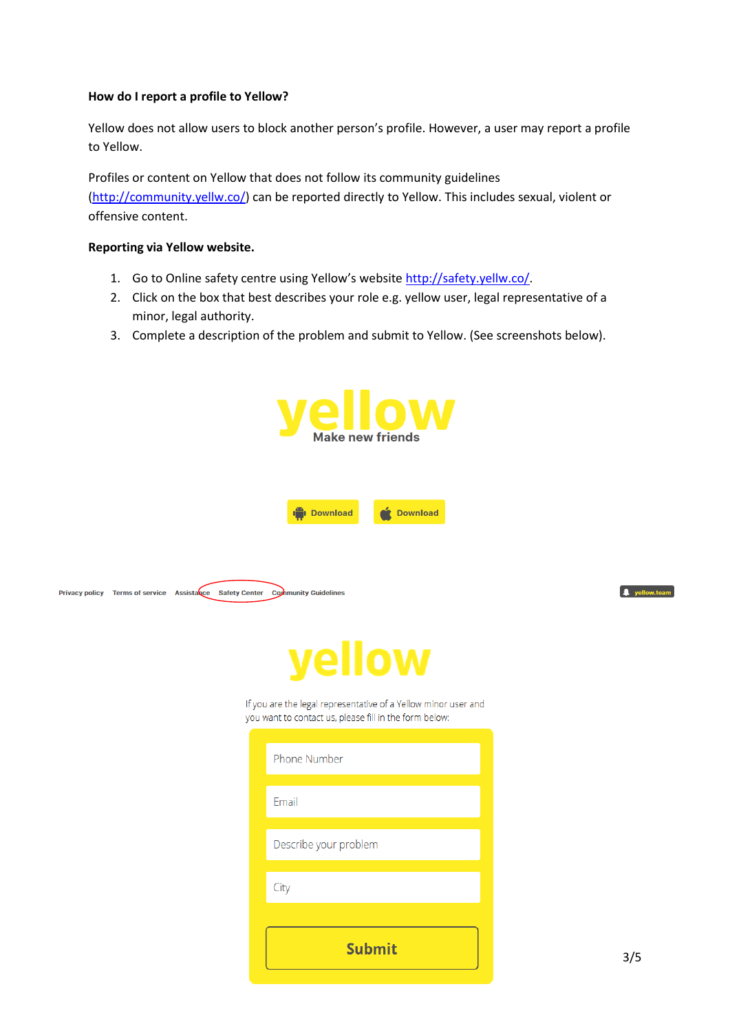#### **How do I report a profile to Yellow?**

Yellow does not allow users to block another person's profile. However, a user may report a profile to Yellow.

Profiles or content on Yellow that does not follow its community guidelines [\(http://community.yellw.co/\)](http://community.yellw.co/) can be reported directly to Yellow. This includes sexual, violent or offensive content.

### **Reporting via Yellow website.**

- 1. Go to Online safety centre using Yellow's websit[e http://safety.yellw.co/.](http://safety.yellw.co/)
- 2. Click on the box that best describes your role e.g. yellow user, legal representative of a minor, legal authority.
- 3. Complete a description of the problem and submit to Yellow. (See screenshots below).

| elloy<br>Make new friends                                                     |                                                                                                                                                 |                      |  |  |  |  |
|-------------------------------------------------------------------------------|-------------------------------------------------------------------------------------------------------------------------------------------------|----------------------|--|--|--|--|
|                                                                               | <b>I</b> I Download<br><b>Download</b>                                                                                                          |                      |  |  |  |  |
| Privacy policy Terms of service Assistacie Safety Center Community Guidelines |                                                                                                                                                 | <b>A</b> yellow.tear |  |  |  |  |
| yellow                                                                        |                                                                                                                                                 |                      |  |  |  |  |
|                                                                               | If you are the legal representative of a Yellow minor user and<br>you want to contact us, please fill in the form below:<br><b>Phone Number</b> |                      |  |  |  |  |
|                                                                               |                                                                                                                                                 |                      |  |  |  |  |
|                                                                               | Email                                                                                                                                           |                      |  |  |  |  |
|                                                                               | Describe your problem                                                                                                                           |                      |  |  |  |  |
|                                                                               | City                                                                                                                                            |                      |  |  |  |  |
|                                                                               | <b>Submit</b>                                                                                                                                   | 3/5                  |  |  |  |  |

**Thinkuknow Parents and Carers guide to 'Yellow'**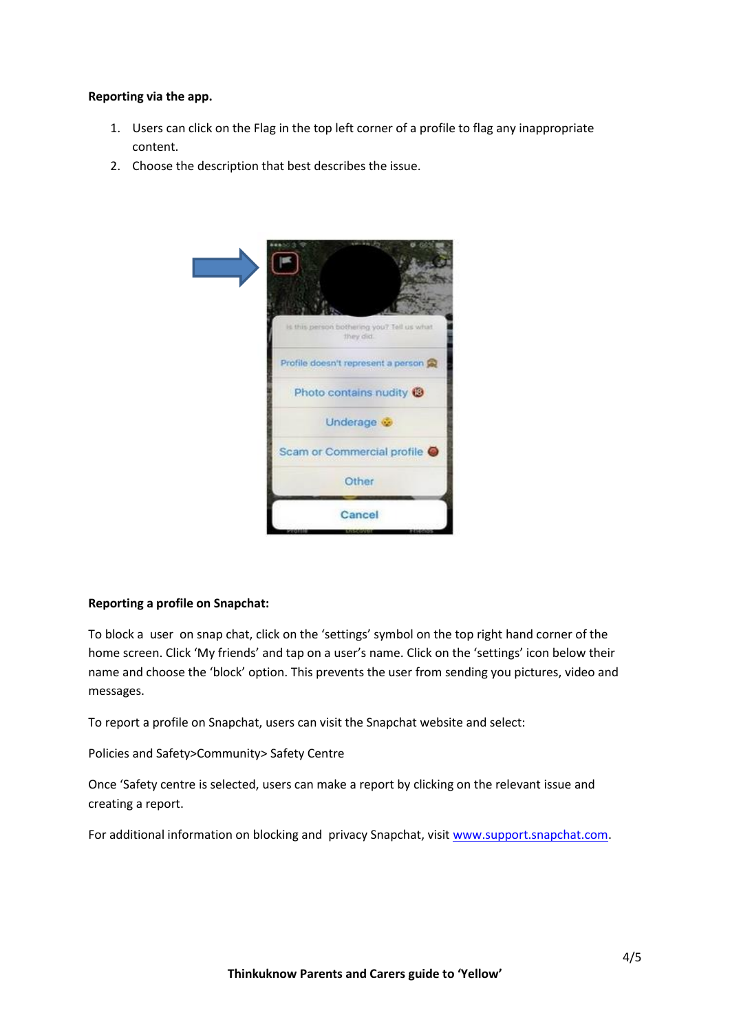### **Reporting via the app.**

- 1. Users can click on the Flag in the top left corner of a profile to flag any inappropriate content.
- 2. Choose the description that best describes the issue.



## **Reporting a profile on Snapchat:**

To block a user on snap chat, click on the 'settings' symbol on the top right hand corner of the home screen. Click 'My friends' and tap on a user's name. Click on the 'settings' icon below their name and choose the 'block' option. This prevents the user from sending you pictures, video and messages.

To report a profile on Snapchat, users can visit the Snapchat website and select:

Policies and Safety>Community> Safety Centre

Once 'Safety centre is selected, users can make a report by clicking on the relevant issue and creating a report.

For additional information on blocking and privacy Snapchat, visit [www.support.snapchat.com.](http://www.support.snapchat.com/)